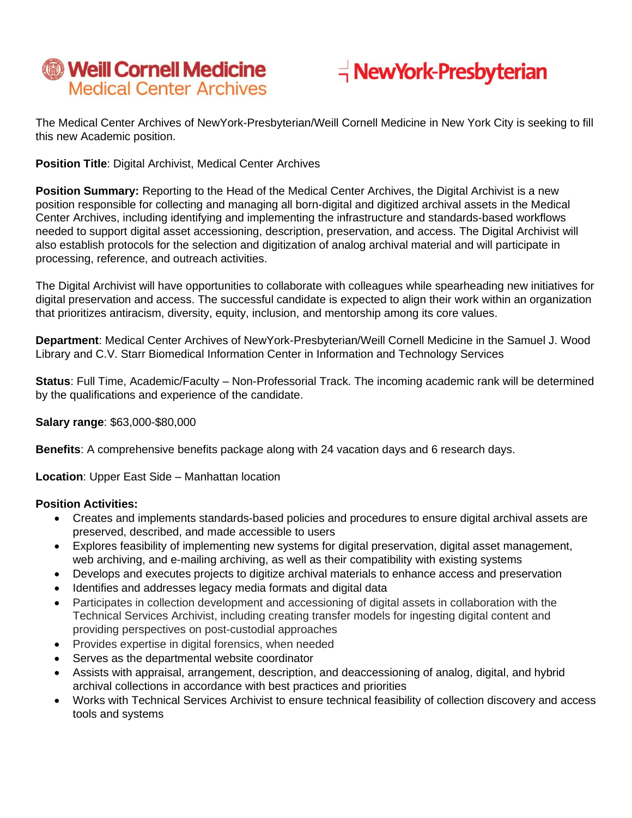



The Medical Center Archives of NewYork-Presbyterian/Weill Cornell Medicine in New York City is seeking to fill this new Academic position.

**Position Title**: Digital Archivist, Medical Center Archives

**Position Summary:** Reporting to the Head of the Medical Center Archives, the Digital Archivist is a new position responsible for collecting and managing all born-digital and digitized archival assets in the Medical Center Archives, including identifying and implementing the infrastructure and standards-based workflows needed to support digital asset accessioning, description, preservation, and access. The Digital Archivist will also establish protocols for the selection and digitization of analog archival material and will participate in processing, reference, and outreach activities.

The Digital Archivist will have opportunities to collaborate with colleagues while spearheading new initiatives for digital preservation and access. The successful candidate is expected to align their work within an organization that prioritizes antiracism, diversity, equity, inclusion, and mentorship among its core values.

**Department**: Medical Center Archives of NewYork-Presbyterian/Weill Cornell Medicine in the Samuel J. Wood Library and C.V. Starr Biomedical Information Center in Information and Technology Services

**Status**: Full Time, Academic/Faculty – Non-Professorial Track. The incoming academic rank will be determined by the qualifications and experience of the candidate.

## **Salary range**: \$63,000-\$80,000

**Benefits**: A comprehensive benefits package along with 24 vacation days and 6 research days.

**Location**: Upper East Side – Manhattan location

## **Position Activities:**

- Creates and implements standards-based policies and procedures to ensure digital archival assets are preserved, described, and made accessible to users
- Explores feasibility of implementing new systems for digital preservation, digital asset management, web archiving, and e-mailing archiving, as well as their compatibility with existing systems
- Develops and executes projects to digitize archival materials to enhance access and preservation
- Identifies and addresses legacy media formats and digital data
- Participates in collection development and accessioning of digital assets in collaboration with the Technical Services Archivist, including creating transfer models for ingesting digital content and providing perspectives on post-custodial approaches
- Provides expertise in digital forensics, when needed
- Serves as the departmental website coordinator
- Assists with appraisal, arrangement, description, and deaccessioning of analog, digital, and hybrid archival collections in accordance with best practices and priorities
- Works with Technical Services Archivist to ensure technical feasibility of collection discovery and access tools and systems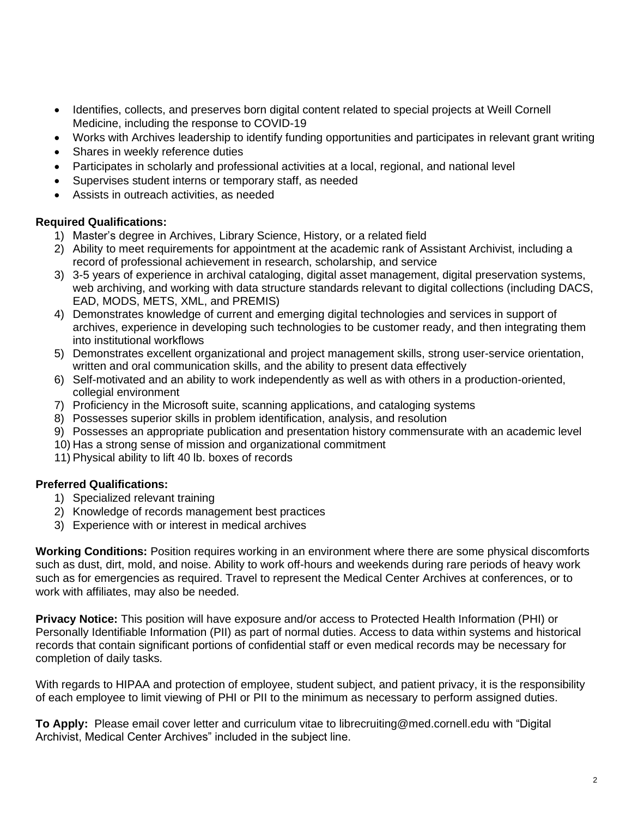- Identifies, collects, and preserves born digital content related to special projects at Weill Cornell Medicine, including the response to COVID-19
- Works with Archives leadership to identify funding opportunities and participates in relevant grant writing
- Shares in weekly reference duties
- Participates in scholarly and professional activities at a local, regional, and national level
- Supervises student interns or temporary staff, as needed
- Assists in outreach activities, as needed

## **Required Qualifications:**

- 1) Master's degree in Archives, Library Science, History, or a related field
- 2) Ability to meet requirements for appointment at the academic rank of Assistant Archivist, including a record of professional achievement in research, scholarship, and service
- 3) 3-5 years of experience in archival cataloging, digital asset management, digital preservation systems, web archiving, and working with data structure standards relevant to digital collections (including DACS, EAD, MODS, METS, XML, and PREMIS)
- 4) Demonstrates knowledge of current and emerging digital technologies and services in support of archives, experience in developing such technologies to be customer ready, and then integrating them into institutional workflows
- 5) Demonstrates excellent organizational and project management skills, strong user-service orientation, written and oral communication skills, and the ability to present data effectively
- 6) Self-motivated and an ability to work independently as well as with others in a production-oriented, collegial environment
- 7) Proficiency in the Microsoft suite, scanning applications, and cataloging systems
- 8) Possesses superior skills in problem identification, analysis, and resolution
- 9) Possesses an appropriate publication and presentation history commensurate with an academic level
- 10) Has a strong sense of mission and organizational commitment
- 11) Physical ability to lift 40 lb. boxes of records

## **Preferred Qualifications:**

- 1) Specialized relevant training
- 2) Knowledge of records management best practices
- 3) Experience with or interest in medical archives

**Working Conditions:** Position requires working in an environment where there are some physical discomforts such as dust, dirt, mold, and noise. Ability to work off-hours and weekends during rare periods of heavy work such as for emergencies as required. Travel to represent the Medical Center Archives at conferences, or to work with affiliates, may also be needed.

**Privacy Notice:** This position will have exposure and/or access to Protected Health Information (PHI) or Personally Identifiable Information (PII) as part of normal duties. Access to data within systems and historical records that contain significant portions of confidential staff or even medical records may be necessary for completion of daily tasks.

With regards to HIPAA and protection of employee, student subject, and patient privacy, it is the responsibility of each employee to limit viewing of PHI or PII to the minimum as necessary to perform assigned duties.

**To Apply:** Please email cover letter and curriculum vitae to librecruiting@med.cornell.edu with "Digital Archivist, Medical Center Archives" included in the subject line.